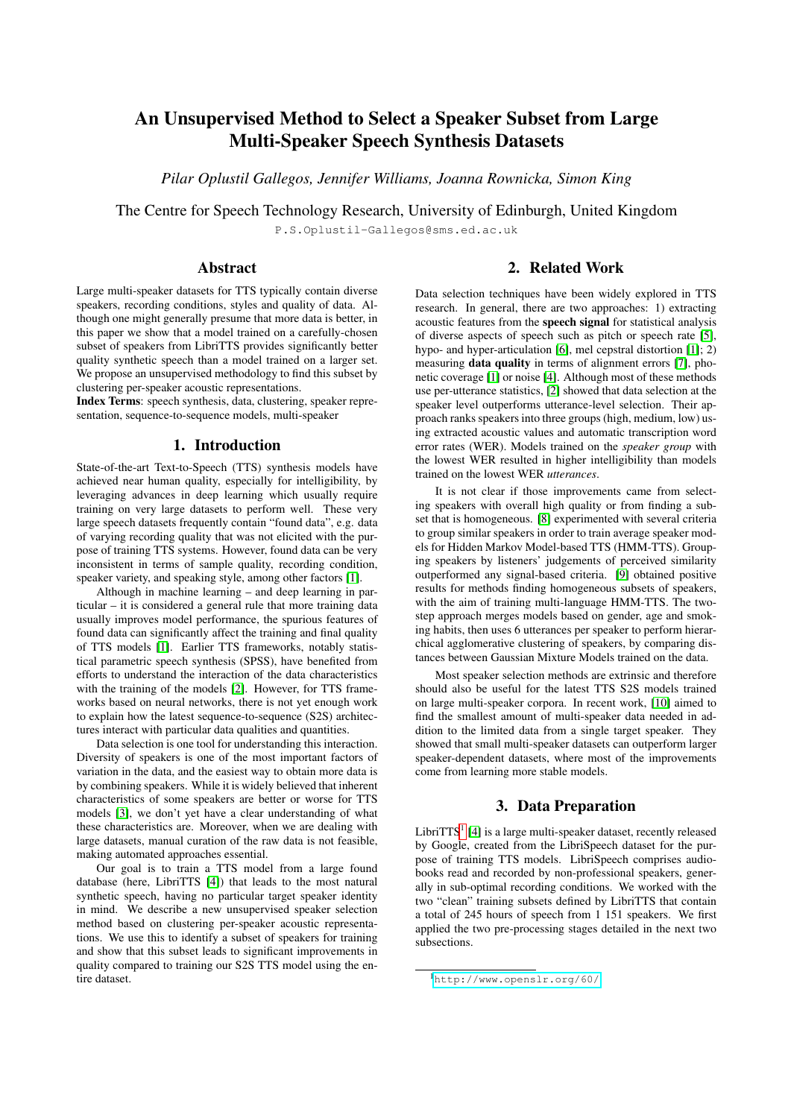# An Unsupervised Method to Select a Speaker Subset from Large Multi-Speaker Speech Synthesis Datasets

*Pilar Oplustil Gallegos, Jennifer Williams, Joanna Rownicka, Simon King*

The Centre for Speech Technology Research, University of Edinburgh, United Kingdom P.S.Oplustil-Gallegos@sms.ed.ac.uk

### Abstract

Large multi-speaker datasets for TTS typically contain diverse speakers, recording conditions, styles and quality of data. Although one might generally presume that more data is better, in this paper we show that a model trained on a carefully-chosen subset of speakers from LibriTTS provides significantly better quality synthetic speech than a model trained on a larger set. We propose an unsupervised methodology to find this subset by clustering per-speaker acoustic representations.

Index Terms: speech synthesis, data, clustering, speaker representation, sequence-to-sequence models, multi-speaker

# 1. Introduction

State-of-the-art Text-to-Speech (TTS) synthesis models have achieved near human quality, especially for intelligibility, by leveraging advances in deep learning which usually require training on very large datasets to perform well. These very large speech datasets frequently contain "found data", e.g. data of varying recording quality that was not elicited with the purpose of training TTS systems. However, found data can be very inconsistent in terms of sample quality, recording condition, speaker variety, and speaking style, among other factors [\[1\]](#page-4-0).

Although in machine learning – and deep learning in particular – it is considered a general rule that more training data usually improves model performance, the spurious features of found data can significantly affect the training and final quality of TTS models [\[1\]](#page-4-0). Earlier TTS frameworks, notably statistical parametric speech synthesis (SPSS), have benefited from efforts to understand the interaction of the data characteristics with the training of the models [\[2\]](#page-4-1). However, for TTS frameworks based on neural networks, there is not yet enough work to explain how the latest sequence-to-sequence (S2S) architectures interact with particular data qualities and quantities.

Data selection is one tool for understanding this interaction. Diversity of speakers is one of the most important factors of variation in the data, and the easiest way to obtain more data is by combining speakers. While it is widely believed that inherent characteristics of some speakers are better or worse for TTS models [\[3\]](#page-4-2), we don't yet have a clear understanding of what these characteristics are. Moreover, when we are dealing with large datasets, manual curation of the raw data is not feasible, making automated approaches essential.

Our goal is to train a TTS model from a large found database (here, LibriTTS [\[4\]](#page-4-3)) that leads to the most natural synthetic speech, having no particular target speaker identity in mind. We describe a new unsupervised speaker selection method based on clustering per-speaker acoustic representations. We use this to identify a subset of speakers for training and show that this subset leads to significant improvements in quality compared to training our S2S TTS model using the entire dataset.

# 2. Related Work

Data selection techniques have been widely explored in TTS research. In general, there are two approaches: 1) extracting acoustic features from the speech signal for statistical analysis of diverse aspects of speech such as pitch or speech rate [\[5\]](#page-4-4), hypo- and hyper-articulation [\[6\]](#page-4-5), mel cepstral distortion [\[1\]](#page-4-0); 2) measuring data quality in terms of alignment errors [\[7\]](#page-4-6), phonetic coverage [\[1\]](#page-4-0) or noise [\[4\]](#page-4-3). Although most of these methods use per-utterance statistics, [\[2\]](#page-4-1) showed that data selection at the speaker level outperforms utterance-level selection. Their approach ranks speakers into three groups (high, medium, low) using extracted acoustic values and automatic transcription word error rates (WER). Models trained on the *speaker group* with the lowest WER resulted in higher intelligibility than models trained on the lowest WER *utterances*.

It is not clear if those improvements came from selecting speakers with overall high quality or from finding a subset that is homogeneous. [\[8\]](#page-4-7) experimented with several criteria to group similar speakers in order to train average speaker models for Hidden Markov Model-based TTS (HMM-TTS). Grouping speakers by listeners' judgements of perceived similarity outperformed any signal-based criteria. [\[9\]](#page-4-8) obtained positive results for methods finding homogeneous subsets of speakers, with the aim of training multi-language HMM-TTS. The twostep approach merges models based on gender, age and smoking habits, then uses 6 utterances per speaker to perform hierarchical agglomerative clustering of speakers, by comparing distances between Gaussian Mixture Models trained on the data.

Most speaker selection methods are extrinsic and therefore should also be useful for the latest TTS S2S models trained on large multi-speaker corpora. In recent work, [\[10\]](#page-4-9) aimed to find the smallest amount of multi-speaker data needed in addition to the limited data from a single target speaker. They showed that small multi-speaker datasets can outperform larger speaker-dependent datasets, where most of the improvements come from learning more stable models.

# 3. Data Preparation

<span id="page-0-1"></span>LibriTTS<sup>[1](#page-0-0)</sup> [\[4\]](#page-4-3) is a large multi-speaker dataset, recently released by Google, created from the LibriSpeech dataset for the purpose of training TTS models. LibriSpeech comprises audiobooks read and recorded by non-professional speakers, generally in sub-optimal recording conditions. We worked with the two "clean" training subsets defined by LibriTTS that contain a total of 245 hours of speech from 1 151 speakers. We first applied the two pre-processing stages detailed in the next two subsections.

<span id="page-0-0"></span><sup>1</sup><http://www.openslr.org/60/>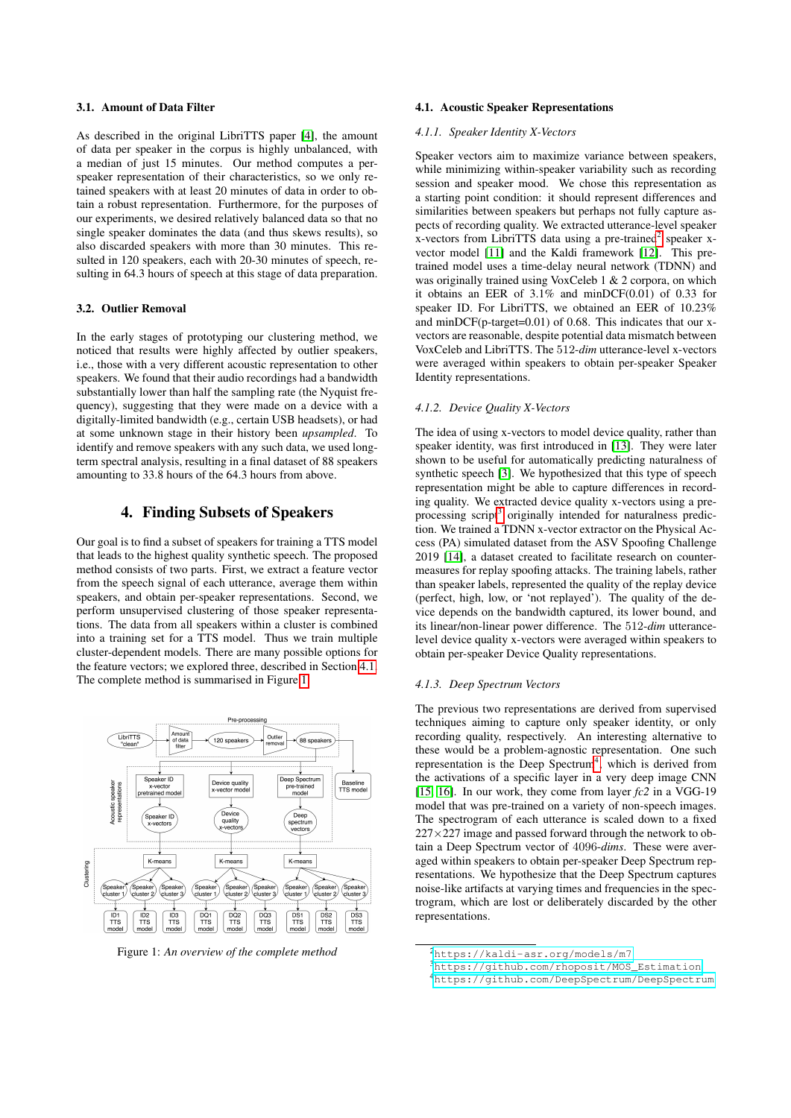### 3.1. Amount of Data Filter

As described in the original LibriTTS paper [\[4\]](#page-4-3), the amount of data per speaker in the corpus is highly unbalanced, with a median of just 15 minutes. Our method computes a perspeaker representation of their characteristics, so we only retained speakers with at least 20 minutes of data in order to obtain a robust representation. Furthermore, for the purposes of our experiments, we desired relatively balanced data so that no single speaker dominates the data (and thus skews results), so also discarded speakers with more than 30 minutes. This resulted in 120 speakers, each with 20-30 minutes of speech, resulting in 64.3 hours of speech at this stage of data preparation.

#### 3.2. Outlier Removal

In the early stages of prototyping our clustering method, we noticed that results were highly affected by outlier speakers, i.e., those with a very different acoustic representation to other speakers. We found that their audio recordings had a bandwidth substantially lower than half the sampling rate (the Nyquist frequency), suggesting that they were made on a device with a digitally-limited bandwidth (e.g., certain USB headsets), or had at some unknown stage in their history been *upsampled*. To identify and remove speakers with any such data, we used longterm spectral analysis, resulting in a final dataset of 88 speakers amounting to 33.8 hours of the 64.3 hours from above.

# 4. Finding Subsets of Speakers

Our goal is to find a subset of speakers for training a TTS model that leads to the highest quality synthetic speech. The proposed method consists of two parts. First, we extract a feature vector from the speech signal of each utterance, average them within speakers, and obtain per-speaker representations. Second, we perform unsupervised clustering of those speaker representations. The data from all speakers within a cluster is combined into a training set for a TTS model. Thus we train multiple cluster-dependent models. There are many possible options for the feature vectors; we explored three, described in Section [4.1.](#page-1-0) The complete method is summarised in Figure [1.](#page-1-1)

<span id="page-1-1"></span>

Figure 1: *An overview of the complete method*

# <span id="page-1-0"></span>4.1. Acoustic Speaker Representations

### *4.1.1. Speaker Identity X-Vectors*

Speaker vectors aim to maximize variance between speakers, while minimizing within-speaker variability such as recording session and speaker mood. We chose this representation as a starting point condition: it should represent differences and similarities between speakers but perhaps not fully capture aspects of recording quality. We extracted utterance-level speaker x-vectors from LibriTTS data using a pre-trained<sup>[2](#page-1-2)</sup> speaker xvector model [\[11\]](#page-4-10) and the Kaldi framework [\[12\]](#page-4-11). This pretrained model uses a time-delay neural network (TDNN) and was originally trained using VoxCeleb 1 & 2 corpora, on which it obtains an EER of 3.1% and minDCF(0.01) of 0.33 for speaker ID. For LibriTTS, we obtained an EER of 10.23% and minDCF(p-target=0.01) of 0.68. This indicates that our xvectors are reasonable, despite potential data mismatch between VoxCeleb and LibriTTS. The 512-*dim* utterance-level x-vectors were averaged within speakers to obtain per-speaker Speaker Identity representations.

#### *4.1.2. Device Quality X-Vectors*

The idea of using x-vectors to model device quality, rather than speaker identity, was first introduced in [\[13\]](#page-4-12). They were later shown to be useful for automatically predicting naturalness of synthetic speech [\[3\]](#page-4-2). We hypothesized that this type of speech representation might be able to capture differences in recording quality. We extracted device quality x-vectors using a pre-processing script<sup>[3](#page-1-3)</sup> originally intended for naturalness prediction. We trained a TDNN x-vector extractor on the Physical Access (PA) simulated dataset from the ASV Spoofing Challenge 2019 [\[14\]](#page-4-13), a dataset created to facilitate research on countermeasures for replay spoofing attacks. The training labels, rather than speaker labels, represented the quality of the replay device (perfect, high, low, or 'not replayed'). The quality of the device depends on the bandwidth captured, its lower bound, and its linear/non-linear power difference. The 512-*dim* utterancelevel device quality x-vectors were averaged within speakers to obtain per-speaker Device Quality representations.

#### *4.1.3. Deep Spectrum Vectors*

The previous two representations are derived from supervised techniques aiming to capture only speaker identity, or only recording quality, respectively. An interesting alternative to these would be a problem-agnostic representation. One such representation is the Deep Spectrum<sup>[4](#page-1-4)</sup>, which is derived from the activations of a specific layer in a very deep image CNN [\[15,](#page-4-14) [16\]](#page-4-15). In our work, they come from layer *fc2* in a VGG-19 model that was pre-trained on a variety of non-speech images. The spectrogram of each utterance is scaled down to a fixed  $227 \times 227$  image and passed forward through the network to obtain a Deep Spectrum vector of 4096-*dims*. These were averaged within speakers to obtain per-speaker Deep Spectrum representations. We hypothesize that the Deep Spectrum captures noise-like artifacts at varying times and frequencies in the spectrogram, which are lost or deliberately discarded by the other representations.

<span id="page-1-2"></span><sup>2</sup><https://kaldi-asr.org/models/m7>

<span id="page-1-3"></span><sup>3</sup>[https://github.com/rhoposit/MOS\\_Estimation](https://github.com/rhoposit/MOS_Estimation)

<span id="page-1-4"></span><sup>4</sup><https://github.com/DeepSpectrum/DeepSpectrum>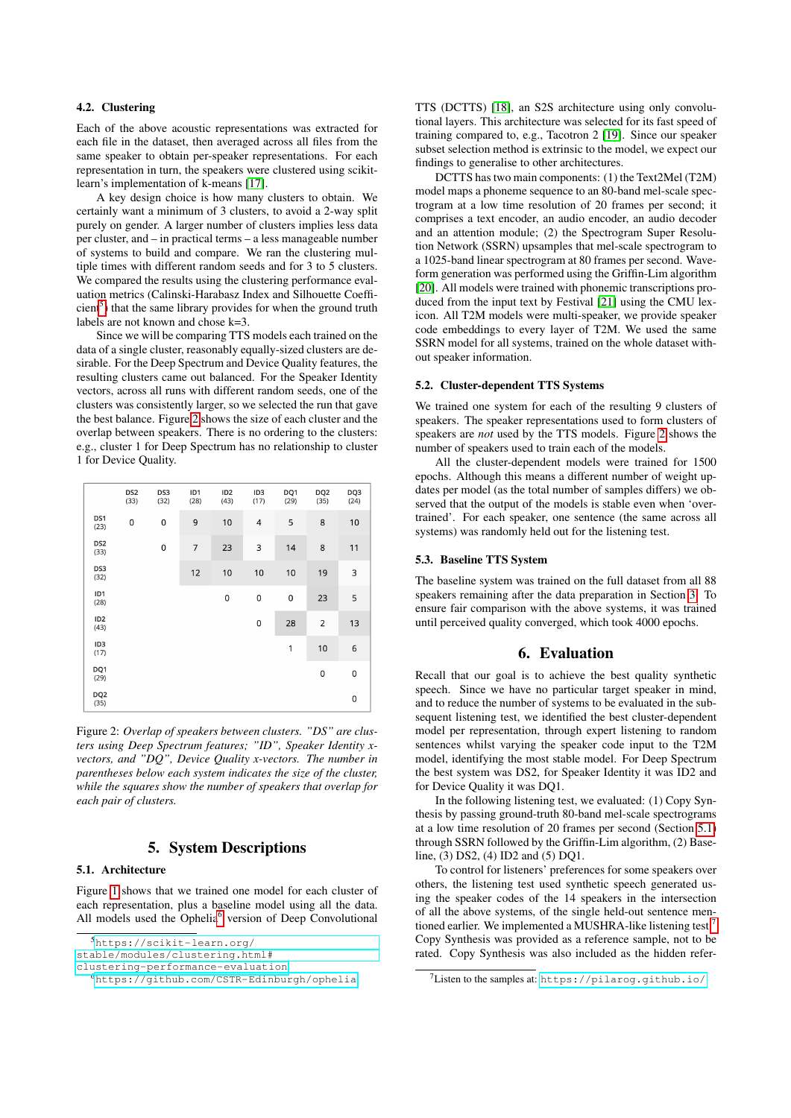## 4.2. Clustering

Each of the above acoustic representations was extracted for each file in the dataset, then averaged across all files from the same speaker to obtain per-speaker representations. For each representation in turn, the speakers were clustered using scikitlearn's implementation of k-means [\[17\]](#page-4-16).

A key design choice is how many clusters to obtain. We certainly want a minimum of 3 clusters, to avoid a 2-way split purely on gender. A larger number of clusters implies less data per cluster, and – in practical terms – a less manageable number of systems to build and compare. We ran the clustering multiple times with different random seeds and for 3 to 5 clusters. We compared the results using the clustering performance evaluation metrics (Calinski-Harabasz Index and Silhouette Coeffi- $cient<sup>5</sup>$  $cient<sup>5</sup>$  $cient<sup>5</sup>$ ) that the same library provides for when the ground truth labels are not known and chose k=3.

Since we will be comparing TTS models each trained on the data of a single cluster, reasonably equally-sized clusters are desirable. For the Deep Spectrum and Device Quality features, the resulting clusters came out balanced. For the Speaker Identity vectors, across all runs with different random seeds, one of the clusters was consistently larger, so we selected the run that gave the best balance. Figure [2](#page-2-1) shows the size of each cluster and the overlap between speakers. There is no ordering to the clusters: e.g., cluster 1 for Deep Spectrum has no relationship to cluster 1 for Device Quality.

<span id="page-2-1"></span>

|                         | DS <sub>2</sub><br>(33) | DS3<br>(32) | ID1<br>(28) | ID <sub>2</sub><br>(43) | ID <sub>3</sub><br>(17) | DQ1<br>(29) | DQ <sub>2</sub><br>(35) | DQ3<br>(24) |
|-------------------------|-------------------------|-------------|-------------|-------------------------|-------------------------|-------------|-------------------------|-------------|
| DS1<br>(23)             | 0                       | 0           | 9           | 10                      | 4                       | 5           | 8                       | 10          |
| DS <sub>2</sub><br>(33) |                         | 0           | 7           | 23                      | 3                       | 14          | 8                       | 11          |
| DS3<br>(32)             |                         |             | 12          | 10                      | 10                      | 10          | 19                      | 3           |
| ID1<br>(28)             |                         |             |             | 0                       | 0                       | 0           | 23                      | 5           |
| ID <sub>2</sub><br>(43) |                         |             |             |                         | 0                       | 28          | 2                       | 13          |
| ID <sub>3</sub><br>(17) |                         |             |             |                         |                         | 1           | 10                      | 6           |
| DQ1<br>(29)             |                         |             |             |                         |                         |             | 0                       | $\mathsf 0$ |
| DQ <sub>2</sub><br>(35) |                         |             |             |                         |                         |             |                         | 0           |

Figure 2: *Overlap of speakers between clusters. "DS" are clusters using Deep Spectrum features; "ID", Speaker Identity xvectors, and "DQ", Device Quality x-vectors. The number in parentheses below each system indicates the size of the cluster, while the squares show the number of speakers that overlap for each pair of clusters.*

# 5. System Descriptions

# <span id="page-2-3"></span>5.1. Architecture

Figure [1](#page-1-1) shows that we trained one model for each cluster of each representation, plus a baseline model using all the data. All models used the Ophelia<sup>[6](#page-2-2)</sup> version of Deep Convolutional

<span id="page-2-0"></span><sup>5</sup>[https://scikit-learn.org/](https://scikit-learn.org/stable/modules/clustering.html##clustering-performance-evaluation)

[clustering-performance-evaluation](https://scikit-learn.org/stable/modules/clustering.html##clustering-performance-evaluation)

TTS (DCTTS) [\[18\]](#page-4-17), an S2S architecture using only convolutional layers. This architecture was selected for its fast speed of training compared to, e.g., Tacotron 2 [\[19\]](#page-4-18). Since our speaker subset selection method is extrinsic to the model, we expect our findings to generalise to other architectures.

DCTTS has two main components: (1) the Text2Mel (T2M) model maps a phoneme sequence to an 80-band mel-scale spectrogram at a low time resolution of 20 frames per second; it comprises a text encoder, an audio encoder, an audio decoder and an attention module; (2) the Spectrogram Super Resolution Network (SSRN) upsamples that mel-scale spectrogram to a 1025-band linear spectrogram at 80 frames per second. Waveform generation was performed using the Griffin-Lim algorithm [\[20\]](#page-4-19). All models were trained with phonemic transcriptions produced from the input text by Festival [\[21\]](#page-4-20) using the CMU lexicon. All T2M models were multi-speaker, we provide speaker code embeddings to every layer of T2M. We used the same SSRN model for all systems, trained on the whole dataset without speaker information.

#### 5.2. Cluster-dependent TTS Systems

We trained one system for each of the resulting 9 clusters of speakers. The speaker representations used to form clusters of speakers are *not* used by the TTS models. Figure [2](#page-2-1) shows the number of speakers used to train each of the models.

All the cluster-dependent models were trained for 1500 epochs. Although this means a different number of weight updates per model (as the total number of samples differs) we observed that the output of the models is stable even when 'overtrained'. For each speaker, one sentence (the same across all systems) was randomly held out for the listening test.

#### 5.3. Baseline TTS System

The baseline system was trained on the full dataset from all 88 speakers remaining after the data preparation in Section [3.](#page-0-1) To ensure fair comparison with the above systems, it was trained until perceived quality converged, which took 4000 epochs.

### 6. Evaluation

Recall that our goal is to achieve the best quality synthetic speech. Since we have no particular target speaker in mind, and to reduce the number of systems to be evaluated in the subsequent listening test, we identified the best cluster-dependent model per representation, through expert listening to random sentences whilst varying the speaker code input to the T2M model, identifying the most stable model. For Deep Spectrum the best system was DS2, for Speaker Identity it was ID2 and for Device Quality it was DQ1.

In the following listening test, we evaluated: (1) Copy Synthesis by passing ground-truth 80-band mel-scale spectrograms at a low time resolution of 20 frames per second (Section [5.1\)](#page-2-3) through SSRN followed by the Griffin-Lim algorithm, (2) Baseline, (3) DS2, (4) ID2 and (5) DQ1.

To control for listeners' preferences for some speakers over others, the listening test used synthetic speech generated using the speaker codes of the 14 speakers in the intersection of all the above systems, of the single held-out sentence men-tioned earlier. We implemented a MUSHRA-like listening test.<sup>[7](#page-2-4)</sup> Copy Synthesis was provided as a reference sample, not to be rated. Copy Synthesis was also included as the hidden refer-

[stable/modules/clustering.html#](https://scikit-learn.org/stable/modules/clustering.html##clustering-performance-evaluation)

<span id="page-2-2"></span><sup>6</sup><https://github.com/CSTR-Edinburgh/ophelia>

<span id="page-2-4"></span><sup>7</sup>Listen to the samples at: <https://pilarog.github.io/>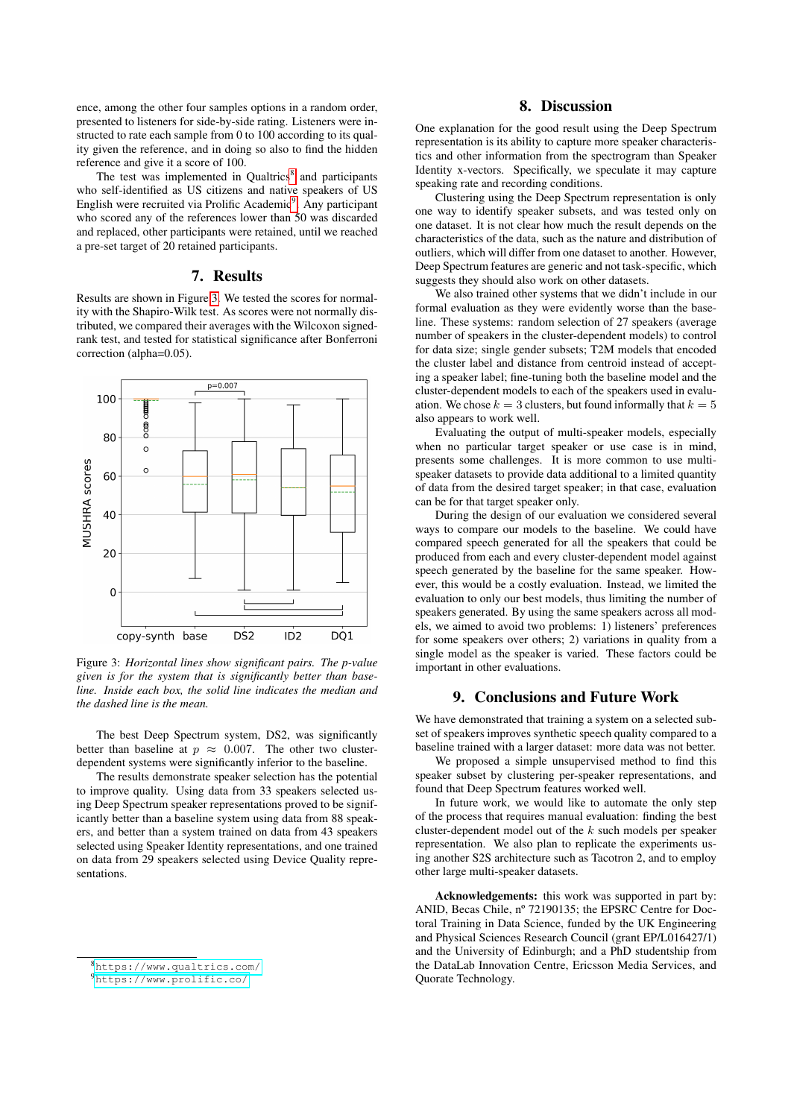ence, among the other four samples options in a random order, presented to listeners for side-by-side rating. Listeners were instructed to rate each sample from 0 to 100 according to its quality given the reference, and in doing so also to find the hidden reference and give it a score of 100.

The test was implemented in Qualtrics<sup>[8](#page-3-0)</sup> and participants who self-identified as US citizens and native speakers of US English were recruited via Prolific Academic<sup>[9](#page-3-1)</sup>. Any participant who scored any of the references lower than 50 was discarded and replaced, other participants were retained, until we reached a pre-set target of 20 retained participants.

## 7. Results

Results are shown in Figure [3.](#page-3-2) We tested the scores for normality with the Shapiro-Wilk test. As scores were not normally distributed, we compared their averages with the Wilcoxon signedrank test, and tested for statistical significance after Bonferroni correction (alpha=0.05).

<span id="page-3-2"></span>

Figure 3: *Horizontal lines show significant pairs. The p-value given is for the system that is significantly better than baseline. Inside each box, the solid line indicates the median and the dashed line is the mean.*

The best Deep Spectrum system, DS2, was significantly better than baseline at  $p \approx 0.007$ . The other two clusterdependent systems were significantly inferior to the baseline.

The results demonstrate speaker selection has the potential to improve quality. Using data from 33 speakers selected using Deep Spectrum speaker representations proved to be significantly better than a baseline system using data from 88 speakers, and better than a system trained on data from 43 speakers selected using Speaker Identity representations, and one trained on data from 29 speakers selected using Device Quality representations.

<span id="page-3-0"></span><sup>8</sup><https://www.qualtrics.com/>

# 8. Discussion

One explanation for the good result using the Deep Spectrum representation is its ability to capture more speaker characteristics and other information from the spectrogram than Speaker Identity x-vectors. Specifically, we speculate it may capture speaking rate and recording conditions.

Clustering using the Deep Spectrum representation is only one way to identify speaker subsets, and was tested only on one dataset. It is not clear how much the result depends on the characteristics of the data, such as the nature and distribution of outliers, which will differ from one dataset to another. However, Deep Spectrum features are generic and not task-specific, which suggests they should also work on other datasets.

We also trained other systems that we didn't include in our formal evaluation as they were evidently worse than the baseline. These systems: random selection of 27 speakers (average number of speakers in the cluster-dependent models) to control for data size; single gender subsets; T2M models that encoded the cluster label and distance from centroid instead of accepting a speaker label; fine-tuning both the baseline model and the cluster-dependent models to each of the speakers used in evaluation. We chose  $k = 3$  clusters, but found informally that  $k = 5$ also appears to work well.

Evaluating the output of multi-speaker models, especially when no particular target speaker or use case is in mind, presents some challenges. It is more common to use multispeaker datasets to provide data additional to a limited quantity of data from the desired target speaker; in that case, evaluation can be for that target speaker only.

During the design of our evaluation we considered several ways to compare our models to the baseline. We could have compared speech generated for all the speakers that could be produced from each and every cluster-dependent model against speech generated by the baseline for the same speaker. However, this would be a costly evaluation. Instead, we limited the evaluation to only our best models, thus limiting the number of speakers generated. By using the same speakers across all models, we aimed to avoid two problems: 1) listeners' preferences for some speakers over others; 2) variations in quality from a single model as the speaker is varied. These factors could be important in other evaluations.

# 9. Conclusions and Future Work

We have demonstrated that training a system on a selected subset of speakers improves synthetic speech quality compared to a baseline trained with a larger dataset: more data was not better.

We proposed a simple unsupervised method to find this speaker subset by clustering per-speaker representations, and found that Deep Spectrum features worked well.

In future work, we would like to automate the only step of the process that requires manual evaluation: finding the best cluster-dependent model out of the k such models per speaker representation. We also plan to replicate the experiments using another S2S architecture such as Tacotron 2, and to employ other large multi-speaker datasets.

Acknowledgements: this work was supported in part by: ANID, Becas Chile, nº 72190135; the EPSRC Centre for Doctoral Training in Data Science, funded by the UK Engineering and Physical Sciences Research Council (grant EP/L016427/1) and the University of Edinburgh; and a PhD studentship from the DataLab Innovation Centre, Ericsson Media Services, and Quorate Technology.

<span id="page-3-1"></span><sup>9</sup><https://www.prolific.co/>